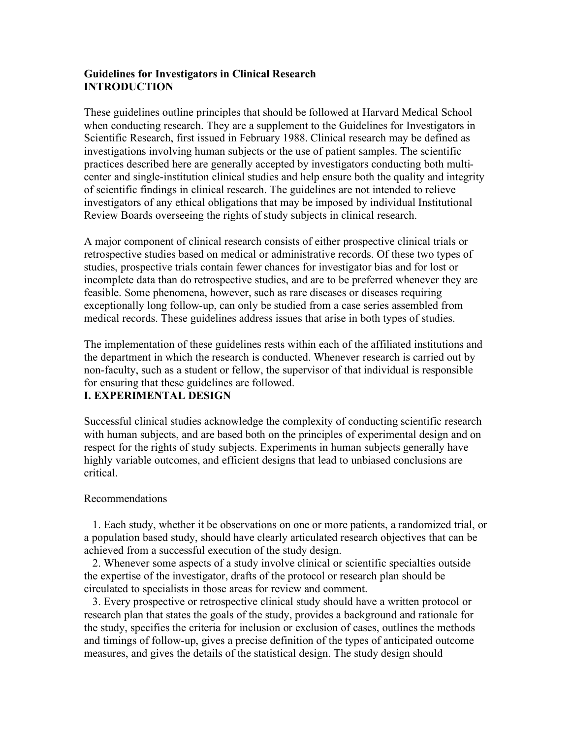# **Guidelines for Investigators in Clinical Research INTRODUCTION**

These guidelines outline principles that should be followed at Harvard Medical School when conducting research. They are a supplement to the Guidelines for Investigators in Scientific Research, first issued in February 1988. Clinical research may be defined as investigations involving human subjects or the use of patient samples. The scientific practices described here are generally accepted by investigators conducting both multicenter and single-institution clinical studies and help ensure both the quality and integrity of scientific findings in clinical research. The guidelines are not intended to relieve investigators of any ethical obligations that may be imposed by individual Institutional Review Boards overseeing the rights of study subjects in clinical research.

A major component of clinical research consists of either prospective clinical trials or retrospective studies based on medical or administrative records. Of these two types of studies, prospective trials contain fewer chances for investigator bias and for lost or incomplete data than do retrospective studies, and are to be preferred whenever they are feasible. Some phenomena, however, such as rare diseases or diseases requiring exceptionally long follow-up, can only be studied from a case series assembled from medical records. These guidelines address issues that arise in both types of studies.

The implementation of these guidelines rests within each of the affiliated institutions and the department in which the research is conducted. Whenever research is carried out by non-faculty, such as a student or fellow, the supervisor of that individual is responsible for ensuring that these guidelines are followed.

# **I. EXPERIMENTAL DESIGN**

Successful clinical studies acknowledge the complexity of conducting scientific research with human subjects, and are based both on the principles of experimental design and on respect for the rights of study subjects. Experiments in human subjects generally have highly variable outcomes, and efficient designs that lead to unbiased conclusions are critical.

## Recommendations

 1. Each study, whether it be observations on one or more patients, a randomized trial, or a population based study, should have clearly articulated research objectives that can be achieved from a successful execution of the study design.

 2. Whenever some aspects of a study involve clinical or scientific specialties outside the expertise of the investigator, drafts of the protocol or research plan should be circulated to specialists in those areas for review and comment.

 3. Every prospective or retrospective clinical study should have a written protocol or research plan that states the goals of the study, provides a background and rationale for the study, specifies the criteria for inclusion or exclusion of cases, outlines the methods and timings of follow-up, gives a precise definition of the types of anticipated outcome measures, and gives the details of the statistical design. The study design should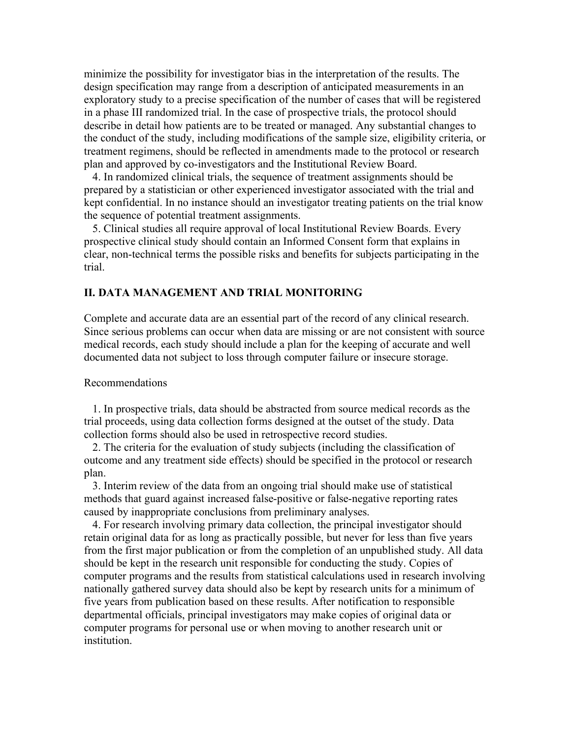minimize the possibility for investigator bias in the interpretation of the results. The design specification may range from a description of anticipated measurements in an exploratory study to a precise specification of the number of cases that will be registered in a phase III randomized trial. In the case of prospective trials, the protocol should describe in detail how patients are to be treated or managed. Any substantial changes to the conduct of the study, including modifications of the sample size, eligibility criteria, or treatment regimens, should be reflected in amendments made to the protocol or research plan and approved by co-investigators and the Institutional Review Board.

 4. In randomized clinical trials, the sequence of treatment assignments should be prepared by a statistician or other experienced investigator associated with the trial and kept confidential. In no instance should an investigator treating patients on the trial know the sequence of potential treatment assignments.

 5. Clinical studies all require approval of local Institutional Review Boards. Every prospective clinical study should contain an Informed Consent form that explains in clear, non-technical terms the possible risks and benefits for subjects participating in the trial.

## **II. DATA MANAGEMENT AND TRIAL MONITORING**

Complete and accurate data are an essential part of the record of any clinical research. Since serious problems can occur when data are missing or are not consistent with source medical records, each study should include a plan for the keeping of accurate and well documented data not subject to loss through computer failure or insecure storage.

#### Recommendations

 1. In prospective trials, data should be abstracted from source medical records as the trial proceeds, using data collection forms designed at the outset of the study. Data collection forms should also be used in retrospective record studies.

 2. The criteria for the evaluation of study subjects (including the classification of outcome and any treatment side effects) should be specified in the protocol or research plan.

 3. Interim review of the data from an ongoing trial should make use of statistical methods that guard against increased false-positive or false-negative reporting rates caused by inappropriate conclusions from preliminary analyses.

 4. For research involving primary data collection, the principal investigator should retain original data for as long as practically possible, but never for less than five years from the first major publication or from the completion of an unpublished study. All data should be kept in the research unit responsible for conducting the study. Copies of computer programs and the results from statistical calculations used in research involving nationally gathered survey data should also be kept by research units for a minimum of five years from publication based on these results. After notification to responsible departmental officials, principal investigators may make copies of original data or computer programs for personal use or when moving to another research unit or institution.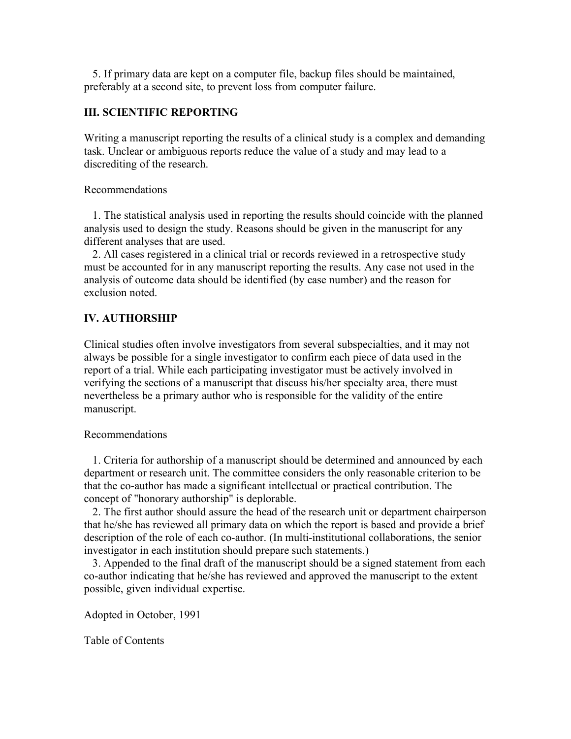5. If primary data are kept on a computer file, backup files should be maintained, preferably at a second site, to prevent loss from computer failure.

### **III. SCIENTIFIC REPORTING**

Writing a manuscript reporting the results of a clinical study is a complex and demanding task. Unclear or ambiguous reports reduce the value of a study and may lead to a discrediting of the research.

#### Recommendations

 1. The statistical analysis used in reporting the results should coincide with the planned analysis used to design the study. Reasons should be given in the manuscript for any different analyses that are used.

 2. All cases registered in a clinical trial or records reviewed in a retrospective study must be accounted for in any manuscript reporting the results. Any case not used in the analysis of outcome data should be identified (by case number) and the reason for exclusion noted.

### **IV. AUTHORSHIP**

Clinical studies often involve investigators from several subspecialties, and it may not always be possible for a single investigator to confirm each piece of data used in the report of a trial. While each participating investigator must be actively involved in verifying the sections of a manuscript that discuss his/her specialty area, there must nevertheless be a primary author who is responsible for the validity of the entire manuscript.

#### Recommendations

 1. Criteria for authorship of a manuscript should be determined and announced by each department or research unit. The committee considers the only reasonable criterion to be that the co-author has made a significant intellectual or practical contribution. The concept of "honorary authorship" is deplorable.

 2. The first author should assure the head of the research unit or department chairperson that he/she has reviewed all primary data on which the report is based and provide a brief description of the role of each co-author. (In multi-institutional collaborations, the senior investigator in each institution should prepare such statements.)

 3. Appended to the final draft of the manuscript should be a signed statement from each co-author indicating that he/she has reviewed and approved the manuscript to the extent possible, given individual expertise.

Adopted in October, 1991

Table of Contents